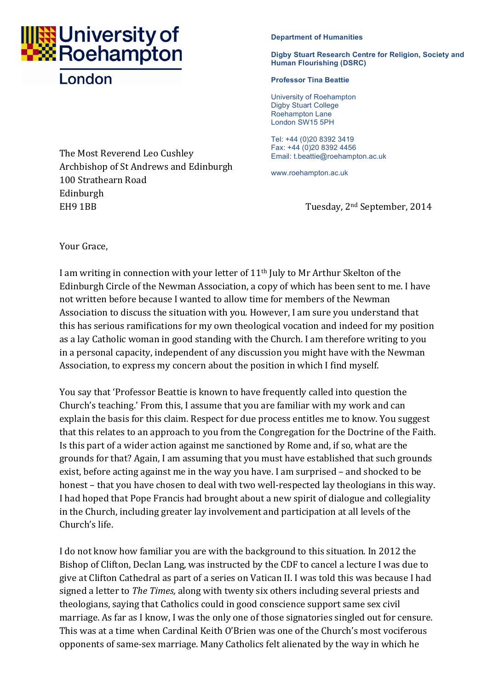

## London

The Most Reverend Leo Cushley Archbishop of St Andrews and Edinburgh 100 Strathearn Road Edinburgh EH9 1BB Tuesday, 2<sup>nd</sup> September, 2014

## **Department of Humanities**

## **Digby Stuart Research Centre for Religion, Society and Human Flourishing (DSRC)**

## **Professor Tina Beattie**

University of Roehampton Digby Stuart College Roehampton Lane London SW15 5PH

Tel: +44 (0)20 8392 3419 Fax: +44 (0)20 8392 4456 Email: t.beattie@roehampton.ac.uk

www.roehampton.ac.uk

Your Grace,

I am writing in connection with your letter of  $11<sup>th</sup>$  July to Mr Arthur Skelton of the Edinburgh Circle of the Newman Association, a copy of which has been sent to me. I have not written before because I wanted to allow time for members of the Newman Association to discuss the situation with you. However, I am sure you understand that this has serious ramifications for my own theological vocation and indeed for my position as a lay Catholic woman in good standing with the Church. I am therefore writing to you in a personal capacity, independent of any discussion you might have with the Newman Association, to express my concern about the position in which I find myself.

You say that 'Professor Beattie is known to have frequently called into question the Church's teaching.' From this, I assume that you are familiar with my work and can explain the basis for this claim. Respect for due process entitles me to know. You suggest that this relates to an approach to you from the Congregation for the Doctrine of the Faith. Is this part of a wider action against me sanctioned by Rome and, if so, what are the grounds for that? Again, I am assuming that you must have established that such grounds exist, before acting against me in the way you have. I am surprised – and shocked to be honest - that you have chosen to deal with two well-respected lay theologians in this way. I had hoped that Pope Francis had brought about a new spirit of dialogue and collegiality in the Church, including greater lay involvement and participation at all levels of the Church's life.

I do not know how familiar you are with the background to this situation. In 2012 the Bishop of Clifton, Declan Lang, was instructed by the CDF to cancel a lecture I was due to give at Clifton Cathedral as part of a series on Vatican II. I was told this was because I had signed a letter to *The Times*, along with twenty six others including several priests and theologians, saying that Catholics could in good conscience support same sex civil marriage. As far as I know, I was the only one of those signatories singled out for censure. This was at a time when Cardinal Keith O'Brien was one of the Church's most vociferous opponents of same-sex marriage. Many Catholics felt alienated by the way in which he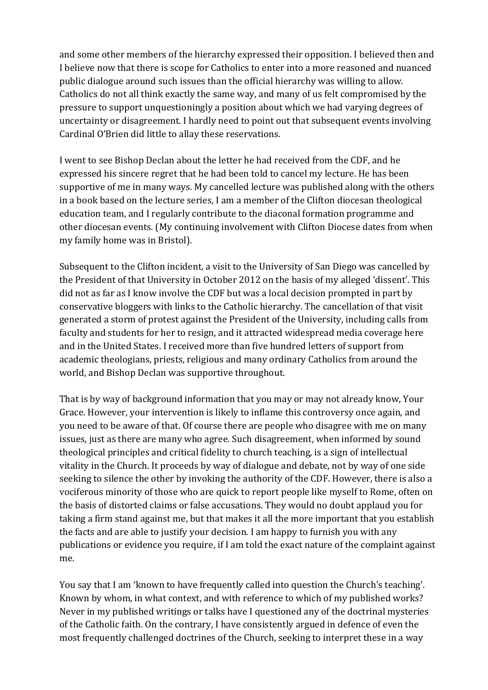and some other members of the hierarchy expressed their opposition. I believed then and I believe now that there is scope for Catholics to enter into a more reasoned and nuanced public dialogue around such issues than the official hierarchy was willing to allow. Catholics do not all think exactly the same way, and many of us felt compromised by the pressure to support unquestioningly a position about which we had varying degrees of uncertainty or disagreement. I hardly need to point out that subsequent events involving Cardinal O'Brien did little to allay these reservations.

I went to see Bishop Declan about the letter he had received from the CDF, and he expressed his sincere regret that he had been told to cancel my lecture. He has been supportive of me in many ways. My cancelled lecture was published along with the others in a book based on the lecture series, I am a member of the Clifton diocesan theological education team, and I regularly contribute to the diaconal formation programme and other diocesan events. (My continuing involvement with Clifton Diocese dates from when my family home was in Bristol).

Subsequent to the Clifton incident, a visit to the University of San Diego was cancelled by the President of that University in October 2012 on the basis of my alleged 'dissent'. This did not as far as I know involve the CDF but was a local decision prompted in part by conservative bloggers with links to the Catholic hierarchy. The cancellation of that visit generated a storm of protest against the President of the University, including calls from faculty and students for her to resign, and it attracted widespread media coverage here and in the United States. I received more than five hundred letters of support from academic theologians, priests, religious and many ordinary Catholics from around the world, and Bishop Declan was supportive throughout.

That is by way of background information that you may or may not already know, Your Grace. However, your intervention is likely to inflame this controversy once again, and you need to be aware of that. Of course there are people who disagree with me on many issues, just as there are many who agree. Such disagreement, when informed by sound theological principles and critical fidelity to church teaching, is a sign of intellectual vitality in the Church. It proceeds by way of dialogue and debate, not by way of one side seeking to silence the other by invoking the authority of the CDF. However, there is also a vociferous minority of those who are quick to report people like myself to Rome, often on the basis of distorted claims or false accusations. They would no doubt applaud you for taking a firm stand against me, but that makes it all the more important that you establish the facts and are able to justify your decision. I am happy to furnish you with any publications or evidence you require, if I am told the exact nature of the complaint against me.

You say that I am 'known to have frequently called into question the Church's teaching'. Known by whom, in what context, and with reference to which of my published works? Never in my published writings or talks have I questioned any of the doctrinal mysteries of the Catholic faith. On the contrary, I have consistently argued in defence of even the most frequently challenged doctrines of the Church, seeking to interpret these in a way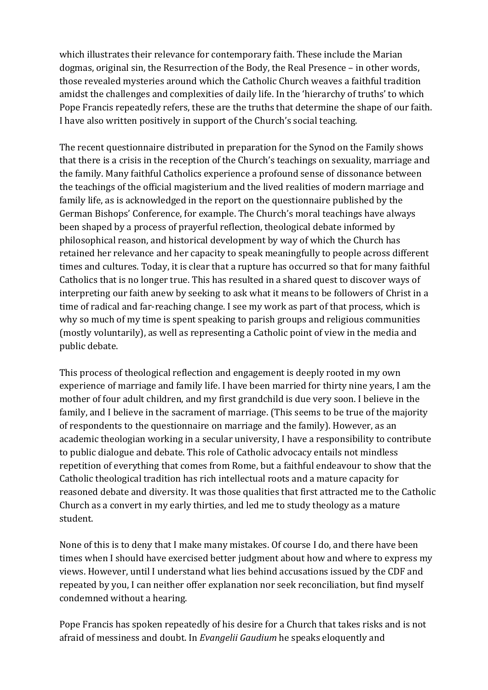which illustrates their relevance for contemporary faith. These include the Marian dogmas, original sin, the Resurrection of the Body, the Real Presence – in other words, those revealed mysteries around which the Catholic Church weaves a faithful tradition amidst the challenges and complexities of daily life. In the 'hierarchy of truths' to which Pope Francis repeatedly refers, these are the truths that determine the shape of our faith. I have also written positively in support of the Church's social teaching.

The recent questionnaire distributed in preparation for the Synod on the Family shows that there is a crisis in the reception of the Church's teachings on sexuality, marriage and the family. Many faithful Catholics experience a profound sense of dissonance between the teachings of the official magisterium and the lived realities of modern marriage and family life, as is acknowledged in the report on the questionnaire published by the German Bishops' Conference, for example. The Church's moral teachings have always been shaped by a process of prayerful reflection, theological debate informed by philosophical reason, and historical development by way of which the Church has retained her relevance and her capacity to speak meaningfully to people across different times and cultures. Today, it is clear that a rupture has occurred so that for many faithful Catholics that is no longer true. This has resulted in a shared quest to discover ways of interpreting our faith anew by seeking to ask what it means to be followers of Christ in a time of radical and far-reaching change. I see my work as part of that process, which is why so much of my time is spent speaking to parish groups and religious communities (mostly voluntarily), as well as representing a Catholic point of view in the media and public debate.

This process of theological reflection and engagement is deeply rooted in my own experience of marriage and family life. I have been married for thirty nine years, I am the mother of four adult children, and my first grandchild is due very soon. I believe in the family, and I believe in the sacrament of marriage. (This seems to be true of the majority of respondents to the questionnaire on marriage and the family). However, as an academic theologian working in a secular university, I have a responsibility to contribute to public dialogue and debate. This role of Catholic advocacy entails not mindless repetition of everything that comes from Rome, but a faithful endeavour to show that the Catholic theological tradition has rich intellectual roots and a mature capacity for reasoned debate and diversity. It was those qualities that first attracted me to the Catholic Church as a convert in my early thirties, and led me to study theology as a mature student. 

None of this is to deny that I make many mistakes. Of course I do, and there have been times when I should have exercised better judgment about how and where to express my views. However, until I understand what lies behind accusations issued by the CDF and repeated by you, I can neither offer explanation nor seek reconciliation, but find myself condemned without a hearing.

Pope Francis has spoken repeatedly of his desire for a Church that takes risks and is not afraid of messiness and doubt. In *Evangelii Gaudium* he speaks eloquently and